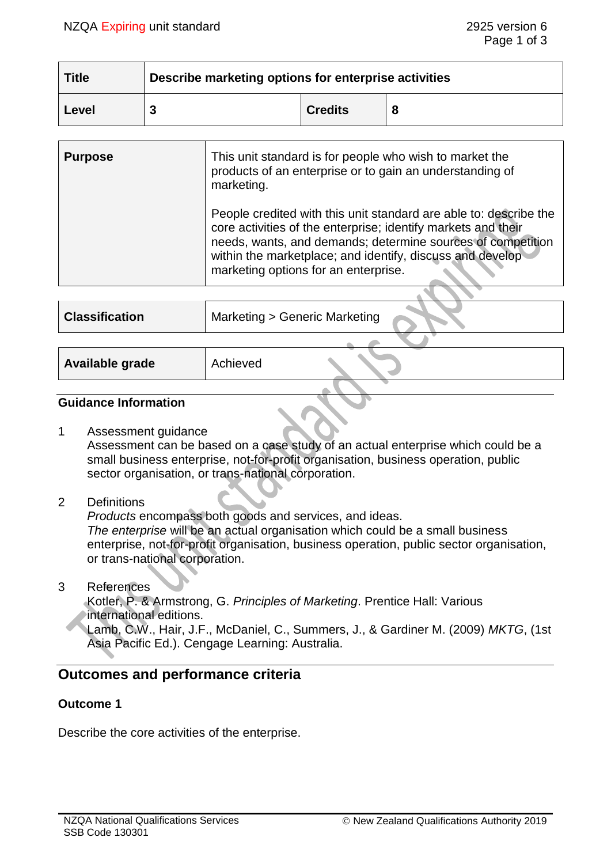| <b>Title</b> | Describe marketing options for enterprise activities |                |  |  |
|--------------|------------------------------------------------------|----------------|--|--|
| Level        |                                                      | <b>Credits</b> |  |  |

| <b>Purpose</b> | This unit standard is for people who wish to market the<br>products of an enterprise or to gain an understanding of<br>marketing.                                                                                                                                                                      |
|----------------|--------------------------------------------------------------------------------------------------------------------------------------------------------------------------------------------------------------------------------------------------------------------------------------------------------|
|                | People credited with this unit standard are able to: describe the<br>core activities of the enterprise; identify markets and their<br>needs, wants, and demands; determine sources of competition<br>within the marketplace; and identify, discuss and develop<br>marketing options for an enterprise. |
|                |                                                                                                                                                                                                                                                                                                        |

| <b>Classification</b> | Marketing > Generic Marketing |  |
|-----------------------|-------------------------------|--|
|                       |                               |  |
| Available grade       | Achieved                      |  |

## **Guidance Information**

1 Assessment guidance

Assessment can be based on a case study of an actual enterprise which could be a small business enterprise, not-for-profit organisation, business operation, public sector organisation, or trans-national corporation.

## 2 Definitions

*Products* encompass both goods and services, and ideas. *The enterprise* will be an actual organisation which could be a small business enterprise, not-for-profit organisation, business operation, public sector organisation, or trans-national corporation.

3 References

Kotler, P. & Armstrong, G. *Principles of Marketing*. Prentice Hall: Various international editions.

Lamb, C.W., Hair, J.F., McDaniel, C., Summers, J., & Gardiner M. (2009) *MKTG*, (1st Asia Pacific Ed.). Cengage Learning: Australia.

# **Outcomes and performance criteria**

## **Outcome 1**

Describe the core activities of the enterprise.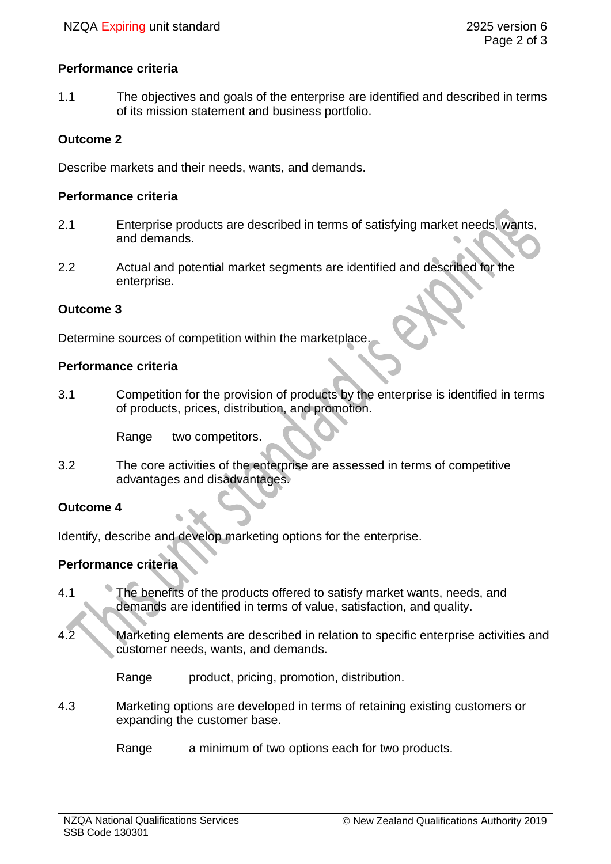## **Performance criteria**

1.1 The objectives and goals of the enterprise are identified and described in terms of its mission statement and business portfolio.

#### **Outcome 2**

Describe markets and their needs, wants, and demands.

#### **Performance criteria**

- 2.1 Enterprise products are described in terms of satisfying market needs, wants, and demands.
- 2.2 Actual and potential market segments are identified and described for the enterprise.

#### **Outcome 3**

Determine sources of competition within the marketplace.

#### **Performance criteria**

3.1 Competition for the provision of products by the enterprise is identified in terms of products, prices, distribution, and promotion.

Range two competitors.

3.2 The core activities of the enterprise are assessed in terms of competitive advantages and disadvantages.

## **Outcome 4**

Identify, describe and develop marketing options for the enterprise.

## **Performance criteria**

- 4.1 The benefits of the products offered to satisfy market wants, needs, and demands are identified in terms of value, satisfaction, and quality.
- 4.2 Marketing elements are described in relation to specific enterprise activities and customer needs, wants, and demands.

Range product, pricing, promotion, distribution.

- 4.3 Marketing options are developed in terms of retaining existing customers or expanding the customer base.
	- Range a minimum of two options each for two products.